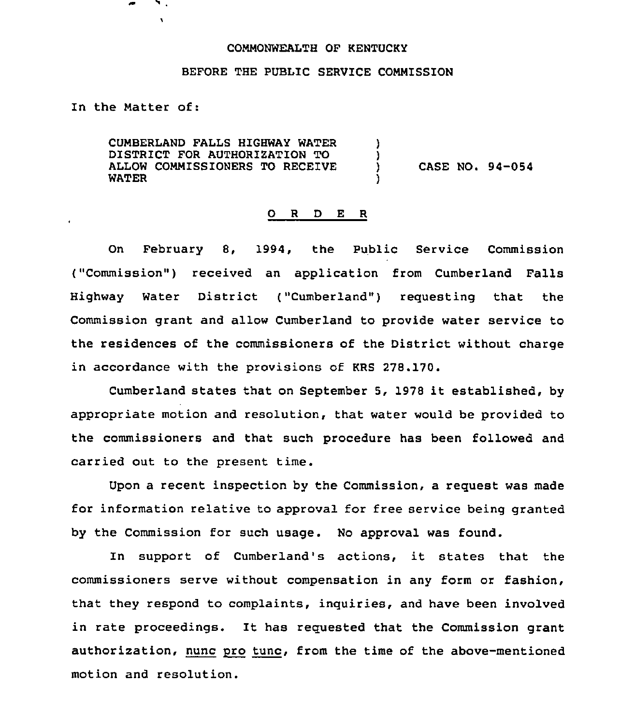## CONMONWEALTH QF KENTUCKY

## BEFORE THE PUBLIC SERVICE COMMISSION

In the Natter of:

 $\mathbf{v}$ 

CUMBERLAND FALLS HIGHWAY WATER DISTRICT FOR AUTHORIZATION TO ALLOW COMMISSIONERS TO RECEIVE WATER ) ا<br>( )

) CASE NO. 94-054

## 0 <sup>R</sup> <sup>D</sup> E <sup>R</sup>

On February 8, 1994, the Public Service Commission ("Commission") received an application from Cumberland Falls Highway Water District ("Cumberland"} requesting that the Commission grant and allow Cumberland to provide water service to the residences of the commissioners of the District without charge in accordance with the provisions of KRS 278.170.

Cumberland states that on September 5, <sup>1978</sup> it established, by appropriate motion and resolution, that water would be provided to the commissioners and that such procedure has been followed and carried out to the present time.

Upon a recent inspection by the Commission, a request was made for information relative to approval for free service being granted by the Commission for such usage. No approval was found.

In support of Cumberland's actions, it states that the commissioners serve without compensation in any form or fashion, that they respond to complaints, inquiries, and have been involved in rate proceedings. It has requested that the Commission grant authorization, nunc pro tune, from the time of the above-mentioned motion and resolution.